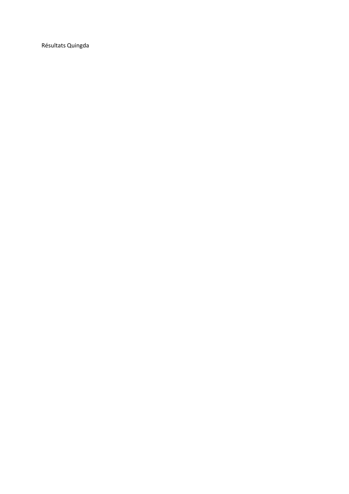Résultats Quingda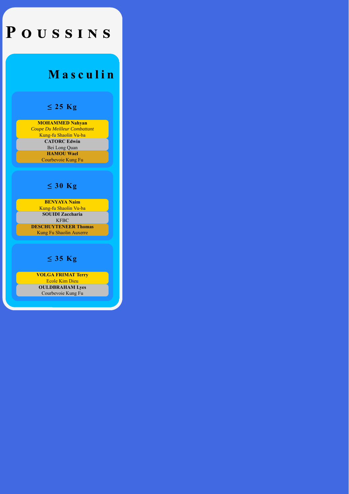## POUSSINS

## Masculin

#### **≤ 25 Kg**

**MOHAMMED Nahyan** *Coupe Du Meilleur Combattant* Kung-fu Shaolin Vu-ba **CATORC Edwin** Bei Long Quan **HAMOU Wael** Courbevoie Kung Fu

#### **≤ 30 Kg**

**BENYAYA Naim** Kung-fu Shaolin Vu-ba **SOUIDI Zaccharia KFBC** 

**DESCHUYTENEER Thomas** Kung Fu Shaolin Auxerre

## **≤ 35 Kg**

**VOLGA FRIMAT Terry** Ecole Kim Dieu **OULDBRAHAM Lyes** Courbevoie Kung Fu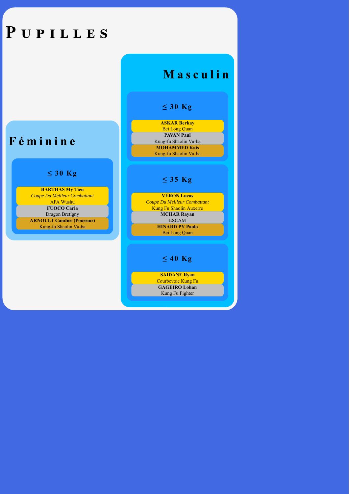## PUPILLES

## Masculin

### **≤ 30 Kg**

#### **ASKAR Berkay** Bei Long Quan **PAVAN Paul** Kung-fu Shaolin Vu-ba **MOHAMMED Kais** Kung-fu Shaolin Vu-ba

## **≤ 30 Kg**

Féminine

**BARTHAS My Tien** *Coupe Du Meilleur Combattant* AFA Wushu **FUOCO Carla** Dragon Bretigny **ARNOULT Candice (Poussins)** Kung-fu Shaolin Vu-ba

## **≤ 35 Kg**

**VERON Lucas** *Coupe Du Meilleur Combattant* Kung Fu Shaolin Auxerre **MCHAR Rayan** ESCAM **HINARD PY Paolo** Bei Long Quan

## **≤ 40 Kg**

**SAIDANE Ryan** Courbevoie Kung Fu **GAGEIRO Lohan** Kung Fu Fighter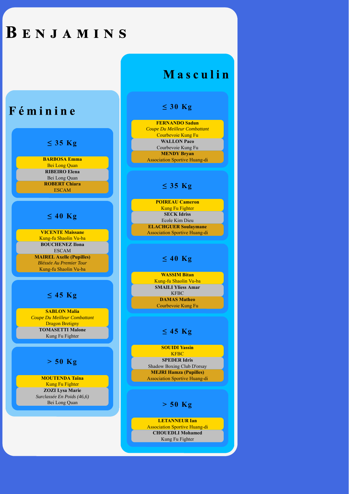## BENJAMINS

# Masculin

## Féminine

### **≤ 35 Kg**

**BARBOSA Emma** Bei Long Quan **RIBEIRO Elena** Bei Long Quan **ROBERT Chiara** ESCAM

### **≤ 40 Kg**

**VICENTE Maissane** Kung-fu Shaolin Vu-ba **BOUCHENEZ Ilona** ESCAM **MAIREL Axelle (Pupilles)** *Bléssée Au Premier Tour* Kung-fu Shaolin Vu-ba

## **≤ 45 Kg**

**SABLON Malia** *Coupe Du Meilleur Combattant* Dragon Bretigny **TOMASETTI Malone** Kung Fu Fighter

## **> 50 Kg**

**MOUTENDA Taïna** Kung Fu Fighter **ZOZI Lysa Marie** *Surclassée En Poids (46,6)* Bei Long Quan

## **≤ 30 Kg**

**FERNANDO Sadun** *Coupe Du Meilleur Combattant* Courbevoie Kung Fu **WALLON Paco** Courbevoie Kung Fu **MENDY Bryan** Association Sportive Huang-di

## **≤ 35 Kg**

**POIREAU Cameron** Kung Fu Fighter **SECK Idriss** Ecole Kim Dieu **ELACHGUER Soulaymane** Association Sportive Huang-di

### **≤ 40 Kg**

**WASSIM Bitan** Kung-fu Shaolin Vu-ba **SMAILI Yliess Amar** KFBC **DAMAS Matheo** Courbevoie Kung Fu

## **≤ 45 Kg**

**SOUIDI Yassin KFBC SPEDER Idris** Shadow Boxing Club D'orsay **MEJRI Hamza (Pupilles)** Association Sportive Huang-di

**> 50 Kg**

**LETANNEUR Ian** Association Sportive Huang-di **CHOUEDLI Mohamed** Kung Fu Fighter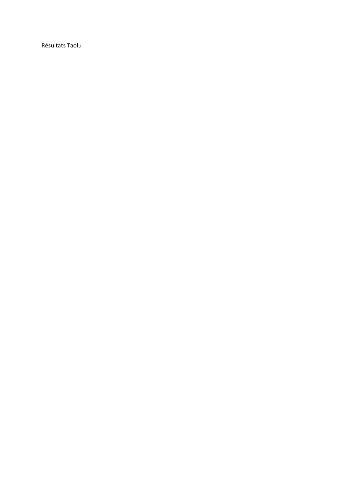Résultats Taolu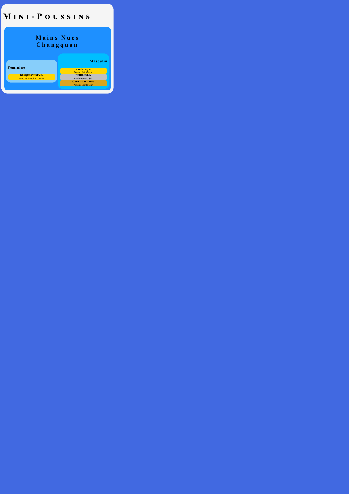## MINI-POUSSINS

## **Mains Nues Changquan**

**Féminine**

**DESQUESNES Faith** Kung Fu Shaolin Auxerre

**RAESE Rayan** Wushu Saint Maur **DEHILES Idir** Ecole Bernard Sok **CAUVILLIET Malo** Wushu Saint Maur

**Masculin**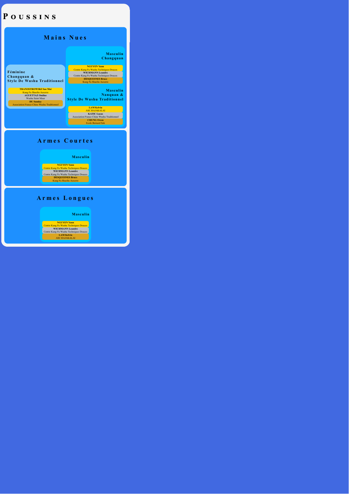## POUSSINS

## **Mains Nues**

#### **Masculin Changquan**

**Féminine Changquan & Style De Wushu Traditionnel**

**TRANOSTROWSKI Sao Mai** Kung Fu Shaolin Auxerre **AGUETTAZ Ondine** Wushu Saint Maur **DU Sunday** Association France Chine Wushu Traditionnel

**NGUYEN Yann** Centre Kung Fu Wushu Techniques Douces **WICHMANN Leandre** Centre Kung Fu Wushu Techniques Douces **DESQUESNES Bruce** Kung Fu Shaolin Auxerre

**Masculin Nanquan & Style De Wushu Traditionnel**

**LAM Kelvin** ASC.RAJAKALAI **KATIC Lucas** Association France Chine Wushu Traditionnel **CHUNG Owen** Ecole Bernard Sok

### **Armes Courtes**

#### **Masculin**

**NGUYEN Yann** Centre Kung Fu Wushu Techniques Douces **WICHMANN Leandre** Centre Kung Fu Wushu Techniques Douces **DESQUESNES Bruce** Kung Fu Shaolin Auxerre

## **Armes Longues**

#### **Masculin**

**NGUYEN Yann** Centre Kung Fu Wushu Techniques Douces WICHMANN Leandre Centre Kung Fu Wushu Techniques Douces **LAM Kelvin** ASC.RAJAKALAI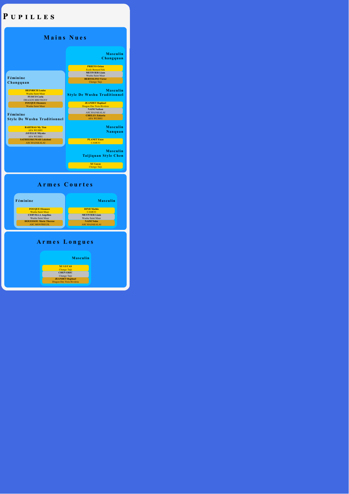## PUPILLES



## **Armes Courtes**

| Féminine                      | <b>Masculin</b>      |
|-------------------------------|----------------------|
| <b>FOUQUE Eleonore</b>        | <b>DINH Mathis</b>   |
| <b>Wushu Saint Maur</b>       | <b>CAMCO</b>         |
| <b>CERVILLA Angelina</b>      | <b>METIVIER Liam</b> |
| Wushu Saint Maur              | Wushu Saint Maur     |
| <b>HOUESSOU Marie Therese</b> | <b>NAIM Noha</b>     |
| <b>ASC.MONTREUIL</b>          | <b>ASC.RAJAKALAI</b> |
|                               |                      |
| Armes Longues                 |                      |

**XU LUCAS** Chengo Taij **CHEN ERIC** Chengo Taiji **JEANDET Raphael** Dragon Des Trois Rivières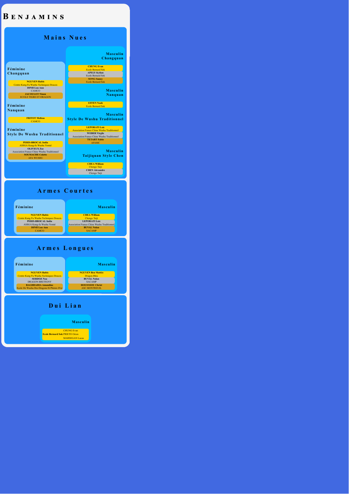## BENJAMINS

## **Mains Nues**

|                                                    | <b>Masculin</b><br>Changquan                                              |
|----------------------------------------------------|---------------------------------------------------------------------------|
|                                                    |                                                                           |
| Féminine                                           | <b>CHUNG Evan</b>                                                         |
|                                                    | <b>Ecole Bernard Sok</b>                                                  |
| Changquan                                          | <b>APELY Kylian</b>                                                       |
|                                                    | <b>Ecole Bernard Sok</b><br><b>SONG Sunny</b>                             |
| <b>NGUYEN Rubis</b>                                | <b>Ecole Bernard Sok</b>                                                  |
| <b>Centre Kung Fu Wushu Techniques Douces</b>      |                                                                           |
| <b>DINH Lou Ann</b>                                |                                                                           |
| CAMCO                                              | <b>Masculin</b>                                                           |
| <b>JACOULOT Ninon</b>                              | Nanquan                                                                   |
| <b>ECOLE TIGRE ET DRAGON</b>                       |                                                                           |
|                                                    |                                                                           |
| Féminine                                           | <b>EFFEN Noah</b>                                                         |
|                                                    | <b>Ecole Bernard Sok</b>                                                  |
| Nanquan                                            |                                                                           |
|                                                    | Masculin                                                                  |
| <b>FRITOT Melissa</b>                              | <b>Style De Wushu Traditionnel</b>                                        |
| <b>CAMCO</b>                                       |                                                                           |
|                                                    |                                                                           |
| Féminine                                           | <b>LEPORATI Loic</b>                                                      |
|                                                    | <b>Association France Chine Wushu Traditionnel</b>                        |
| <b>Style De Wushu Traditionnel</b>                 | <b>WEBER Virgile</b>                                                      |
|                                                    | <b>Association France Chine Wushu Traditionnel</b><br><b>TETART Fabio</b> |
| <b>PERIS-BROCAL India</b>                          | <b>AFAMC</b>                                                              |
| <b>ASSGA Kung-fu Wushu Yontaï</b>                  |                                                                           |
| <b>OLIVEUX Zoe</b>                                 |                                                                           |
| <b>Association France Chine Wushu Traditionnel</b> | <b>Masculin</b>                                                           |
| <b>SOUMACHE Colette</b>                            | Taijiquan Style Chen                                                      |
| <b>AFA WUSHU</b>                                   |                                                                           |
|                                                    | <b>CHEA William</b>                                                       |
|                                                    | Chengo Taiji                                                              |
|                                                    | <b>CHEN Alexandre</b>                                                     |
|                                                    | Chengo Taiji                                                              |
|                                                    |                                                                           |
|                                                    |                                                                           |
|                                                    |                                                                           |
|                                                    |                                                                           |

## **Armes Courtes**



**NGUYEN Rubis** Centre Kung Fu Wushu Techniques Douces **PERIS-BROCAL India** ASSGA Kung-fu Wushu Yontaï **DINH Lou Ann** CAMCO

**Masculin**

**CHEA William** Chengo Taiji **LEPORATI Loic** Association France Chine Wushu Traditionnel **BUVAL Nolan** SACAMP

## **Armes Longues**



**NGUYEN Rubis** Centre Kung Fu Wushu Techniques Douces **SERDOZ Noa** DRAGON BRETIGNY **BAGHDADIA Amandine** Ecole De Wushu Des Dragons Et Phénix D'or **Masculin**

**NGUYEN Ben Mattéo** Dragon Bleu **BUVAL Nolan** SACAMP **HOUESSOU Christ** ASC.MONTREUIL

## **Dui Lian**

#### **Masculin**

**Ecole Bernard Sok** PRIETO Orion CHUNG Evan MARSEGAN Lucas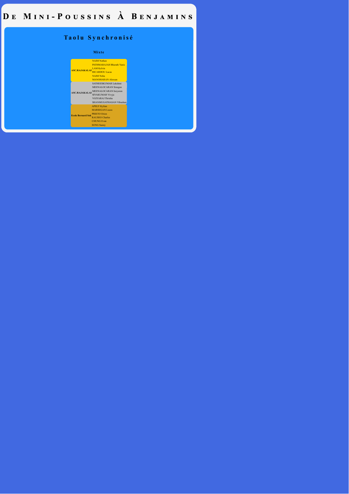## DE MINI-POUSSINS À BENJAMINS

## **Taolu Synchronisé**

#### **Mixte**

| <b>ASC.RAJAKALAI</b>     | <b>NAIM Nathan</b>               |
|--------------------------|----------------------------------|
|                          | <b>PATHMARAJAH Bharath Yanis</b> |
|                          | <b>LAM Kelvin</b>                |
|                          | <b>RICARDOU Lucas</b>            |
|                          | <b>NAIM Noha</b>                 |
|                          | <b>MANOHARAN Alexsan</b>         |
| <b>ASC.RAJAKALAI</b>     | SATHEESKUMAR Lakshmi             |
|                          | <b>MEENALOCARAN Sinegan</b>      |
|                          | MEENALOCARAN Inevaran            |
|                          | SIVAKUMAR Vivyja                 |
|                          | VGIYARAJ Thrisha                 |
|                          | SHANMUGATHASAN Vibushan          |
| <b>Ecole Bernard Sok</b> | <b>APELY Kylian</b>              |
|                          | <b>MARSEGAN Lucas</b>            |
|                          | <b>PRIETO Orion</b>              |
|                          | <b>RAUSEO Charles</b>            |
|                          | <b>CHUNG Evan</b>                |
|                          | <b>SONG Sunny</b>                |